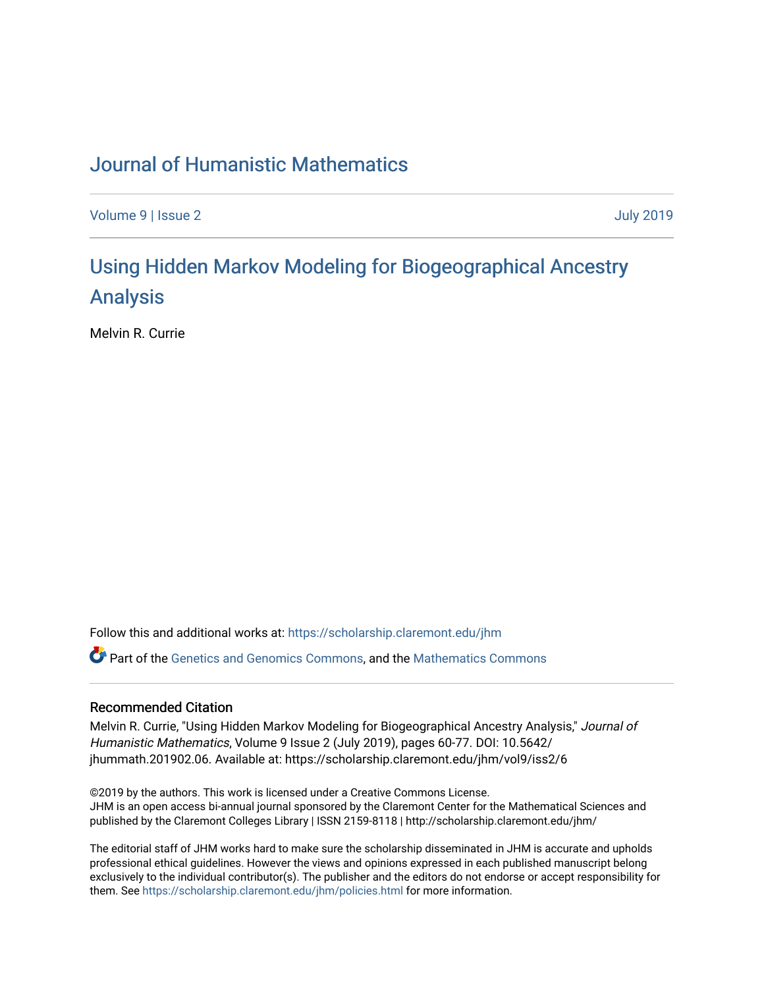## [Journal of Humanistic Mathematics](https://scholarship.claremont.edu/jhm)

[Volume 9](https://scholarship.claremont.edu/jhm/vol9) | [Issue 2](https://scholarship.claremont.edu/jhm/vol9/iss2) [July 2019](https://scholarship.claremont.edu/jhm/vol9/iss2) 

# [Using Hidden Markov Modeling for Biogeographical Ancestry](https://scholarship.claremont.edu/jhm/vol9/iss2/6)  [Analysis](https://scholarship.claremont.edu/jhm/vol9/iss2/6)

Melvin R. Currie

Follow this and additional works at: [https://scholarship.claremont.edu/jhm](https://scholarship.claremont.edu/jhm?utm_source=scholarship.claremont.edu%2Fjhm%2Fvol9%2Fiss2%2F6&utm_medium=PDF&utm_campaign=PDFCoverPages)

Part of the [Genetics and Genomics Commons](http://network.bepress.com/hgg/discipline/27?utm_source=scholarship.claremont.edu%2Fjhm%2Fvol9%2Fiss2%2F6&utm_medium=PDF&utm_campaign=PDFCoverPages), and the [Mathematics Commons](http://network.bepress.com/hgg/discipline/174?utm_source=scholarship.claremont.edu%2Fjhm%2Fvol9%2Fiss2%2F6&utm_medium=PDF&utm_campaign=PDFCoverPages)

### Recommended Citation

Melvin R. Currie, "Using Hidden Markov Modeling for Biogeographical Ancestry Analysis," Journal of Humanistic Mathematics, Volume 9 Issue 2 (July 2019), pages 60-77. DOI: 10.5642/ jhummath.201902.06. Available at: https://scholarship.claremont.edu/jhm/vol9/iss2/6

©2019 by the authors. This work is licensed under a Creative Commons License. JHM is an open access bi-annual journal sponsored by the Claremont Center for the Mathematical Sciences and published by the Claremont Colleges Library | ISSN 2159-8118 | http://scholarship.claremont.edu/jhm/

The editorial staff of JHM works hard to make sure the scholarship disseminated in JHM is accurate and upholds professional ethical guidelines. However the views and opinions expressed in each published manuscript belong exclusively to the individual contributor(s). The publisher and the editors do not endorse or accept responsibility for them. See<https://scholarship.claremont.edu/jhm/policies.html> for more information.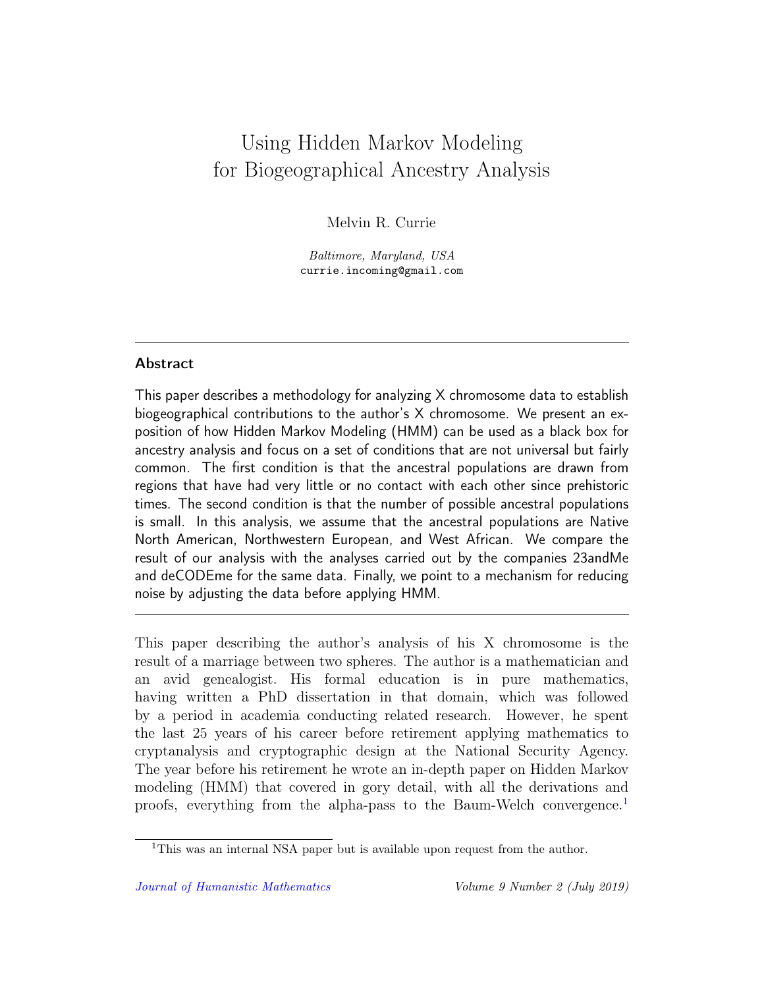## Using Hidden Markov Modeling for Biogeographical Ancestry Analysis

Melvin R. Currie

Baltimore, Maryland, USA currie.incoming@gmail.com

## Abstract

This paper describes a methodology for analyzing X chromosome data to establish biogeographical contributions to the author's X chromosome. We present an exposition of how Hidden Markov Modeling (HMM) can be used as a black box for ancestry analysis and focus on a set of conditions that are not universal but fairly common. The first condition is that the ancestral populations are drawn from regions that have had very little or no contact with each other since prehistoric times. The second condition is that the number of possible ancestral populations is small. In this analysis, we assume that the ancestral populations are Native North American, Northwestern European, and West African. We compare the result of our analysis with the analyses carried out by the companies 23andMe and deCODEme for the same data. Finally, we point to a mechanism for reducing noise by adjusting the data before applying HMM.

This paper describing the author's analysis of his X chromosome is the result of a marriage between two spheres. The author is a mathematician and an avid genealogist. His formal education is in pure mathematics, having written a PhD dissertation in that domain, which was followed by a period in academia conducting related research. However, he spent the last 25 years of his career before retirement applying mathematics to cryptanalysis and cryptographic design at the National Security Agency. The year before his retirement he wrote an in-depth paper on Hidden Markov modeling (HMM) that covered in gory detail, with all the derivations and proofs, everything from the alpha-pass to the Baum-Welch convergence.[1](#page-1-0)

<span id="page-1-0"></span><sup>&</sup>lt;sup>1</sup>This was an internal NSA paper but is available upon request from the author.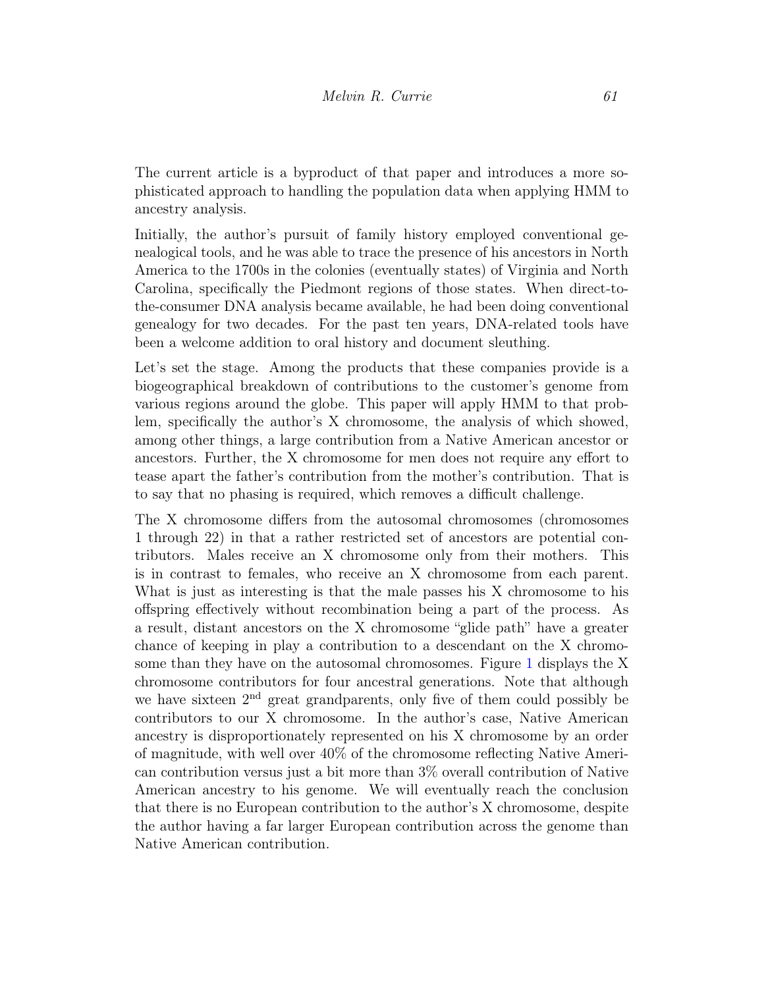The current article is a byproduct of that paper and introduces a more sophisticated approach to handling the population data when applying HMM to ancestry analysis.

Initially, the author's pursuit of family history employed conventional genealogical tools, and he was able to trace the presence of his ancestors in North America to the 1700s in the colonies (eventually states) of Virginia and North Carolina, specifically the Piedmont regions of those states. When direct-tothe-consumer DNA analysis became available, he had been doing conventional genealogy for two decades. For the past ten years, DNA-related tools have been a welcome addition to oral history and document sleuthing.

Let's set the stage. Among the products that these companies provide is a biogeographical breakdown of contributions to the customer's genome from various regions around the globe. This paper will apply HMM to that problem, specifically the author's X chromosome, the analysis of which showed, among other things, a large contribution from a Native American ancestor or ancestors. Further, the X chromosome for men does not require any effort to tease apart the father's contribution from the mother's contribution. That is to say that no phasing is required, which removes a difficult challenge.

The X chromosome differs from the autosomal chromosomes (chromosomes 1 through 22) in that a rather restricted set of ancestors are potential contributors. Males receive an X chromosome only from their mothers. This is in contrast to females, who receive an X chromosome from each parent. What is just as interesting is that the male passes his X chromosome to his offspring effectively without recombination being a part of the process. As a result, distant ancestors on the X chromosome "glide path" have a greater chance of keeping in play a contribution to a descendant on the X chromosome than they have on the autosomal chromosomes. Figure [1](#page-3-0) displays the X chromosome contributors for four ancestral generations. Note that although we have sixteen  $2<sup>nd</sup>$  great grandparents, only five of them could possibly be contributors to our X chromosome. In the author's case, Native American ancestry is disproportionately represented on his X chromosome by an order of magnitude, with well over 40% of the chromosome reflecting Native American contribution versus just a bit more than 3% overall contribution of Native American ancestry to his genome. We will eventually reach the conclusion that there is no European contribution to the author's X chromosome, despite the author having a far larger European contribution across the genome than Native American contribution.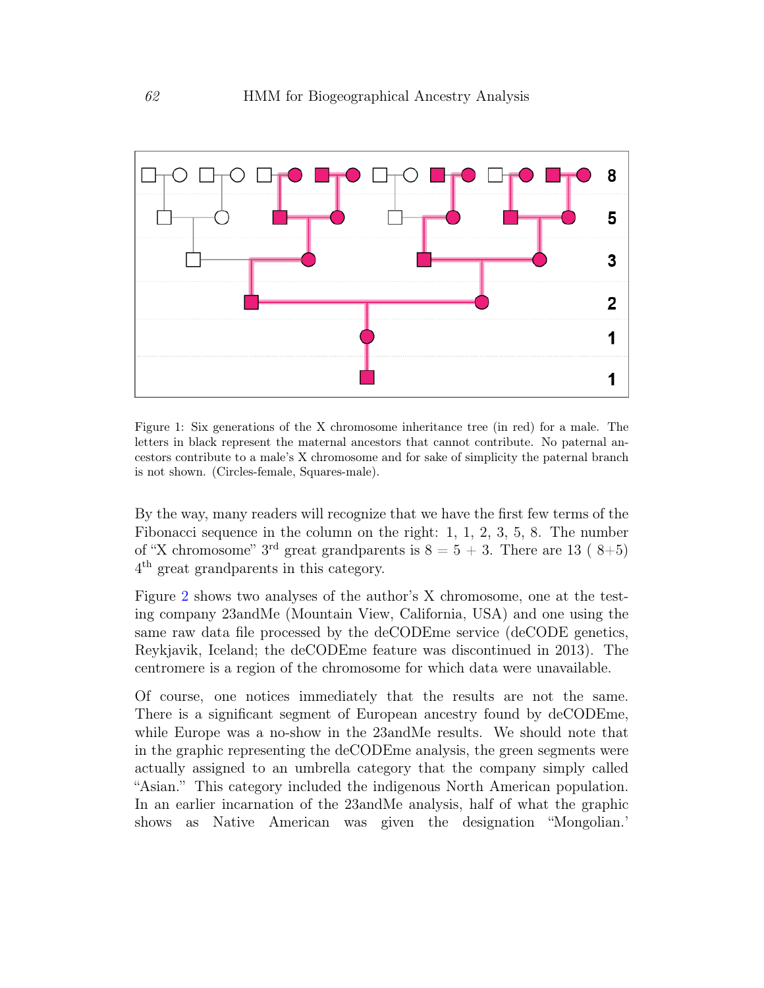

<span id="page-3-0"></span>Figure 1: Six generations of the X chromosome inheritance tree (in red) for a male. The letters in black represent the maternal ancestors that cannot contribute. No paternal ancestors contribute to a male's X chromosome and for sake of simplicity the paternal branch is not shown. (Circles-female, Squares-male).

By the way, many readers will recognize that we have the first few terms of the Fibonacci sequence in the column on the right: 1, 1, 2, 3, 5, 8. The number of "X chromosome" 3<sup>rd</sup> great grandparents is  $8 = 5 + 3$ . There are 13 (8+5) 4 th great grandparents in this category.

Figure [2](#page-4-0) shows two analyses of the author's X chromosome, one at the testing company 23andMe (Mountain View, California, USA) and one using the same raw data file processed by the deCODEme service (deCODE genetics, Reykjavik, Iceland; the deCODEme feature was discontinued in 2013). The centromere is a region of the chromosome for which data were unavailable.

Of course, one notices immediately that the results are not the same. There is a significant segment of European ancestry found by deCODEme, while Europe was a no-show in the 23andMe results. We should note that in the graphic representing the deCODEme analysis, the green segments were actually assigned to an umbrella category that the company simply called "Asian." This category included the indigenous North American population. In an earlier incarnation of the 23andMe analysis, half of what the graphic shows as Native American was given the designation "Mongolian.'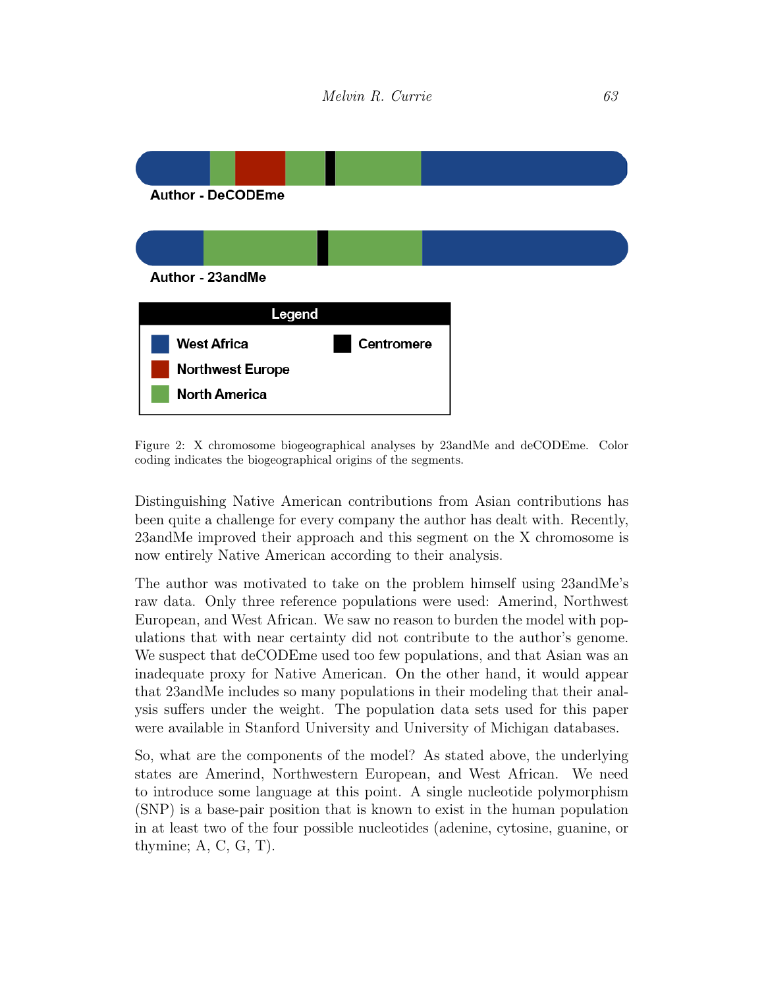

<span id="page-4-0"></span>Figure 2: X chromosome biogeographical analyses by 23andMe and deCODEme. Color coding indicates the biogeographical origins of the segments.

Distinguishing Native American contributions from Asian contributions has been quite a challenge for every company the author has dealt with. Recently, 23andMe improved their approach and this segment on the X chromosome is now entirely Native American according to their analysis.

The author was motivated to take on the problem himself using 23andMe's raw data. Only three reference populations were used: Amerind, Northwest European, and West African. We saw no reason to burden the model with populations that with near certainty did not contribute to the author's genome. We suspect that deCODEme used too few populations, and that Asian was an inadequate proxy for Native American. On the other hand, it would appear that 23andMe includes so many populations in their modeling that their analysis suffers under the weight. The population data sets used for this paper were available in Stanford University and University of Michigan databases.

So, what are the components of the model? As stated above, the underlying states are Amerind, Northwestern European, and West African. We need to introduce some language at this point. A single nucleotide polymorphism (SNP) is a base-pair position that is known to exist in the human population in at least two of the four possible nucleotides (adenine, cytosine, guanine, or thymine;  $A, C, G, T$ ).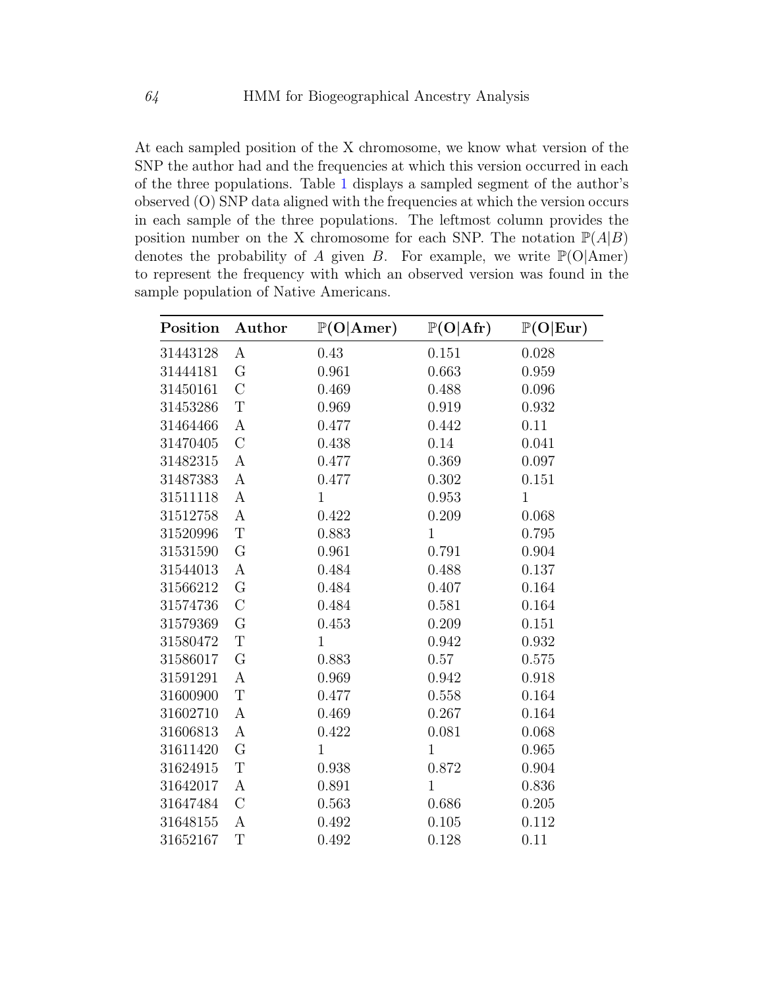At each sampled position of the X chromosome, we know what version of the SNP the author had and the frequencies at which this version occurred in each of the three populations. Table [1](#page-5-0) displays a sampled segment of the author's observed (O) SNP data aligned with the frequencies at which the version occurs in each sample of the three populations. The leftmost column provides the position number on the X chromosome for each SNP. The notation  $\mathbb{P}(A|B)$ denotes the probability of A given B. For example, we write  $\mathbb{P}(\text{O}|\text{Amer})$ to represent the frequency with which an observed version was found in the sample population of Native Americans.

<span id="page-5-0"></span>

| Position | Author           | $\mathbb{P}(\text{O} \text{Amer})$ | $\mathbb{P}(\text{O} \text{Afr})$ | $\mathbb{P}(\text{O} \text{Eur})$ |
|----------|------------------|------------------------------------|-----------------------------------|-----------------------------------|
| 31443128 | A                | 0.43                               | 0.151                             | 0.028                             |
| 31444181 | G                | 0.961                              | 0.663                             | 0.959                             |
| 31450161 | $\mathcal{C}$    | 0.469                              | 0.488                             | 0.096                             |
| 31453286 | $\mathbf T$      | 0.969                              | 0.919                             | 0.932                             |
| 31464466 | A                | 0.477                              | 0.442                             | 0.11                              |
| 31470405 | $\mathcal{C}$    | 0.438                              | 0.14                              | 0.041                             |
| 31482315 | $\boldsymbol{A}$ | 0.477                              | 0.369                             | 0.097                             |
| 31487383 | $\boldsymbol{A}$ | 0.477                              | 0.302                             | 0.151                             |
| 31511118 | $\boldsymbol{A}$ | $\mathbf{1}$                       | 0.953                             | $\mathbf{1}$                      |
| 31512758 | $\boldsymbol{A}$ | 0.422                              | 0.209                             | 0.068                             |
| 31520996 | T                | 0.883                              | $\mathbf{1}$                      | 0.795                             |
| 31531590 | G                | 0.961                              | 0.791                             | 0.904                             |
| 31544013 | A                | 0.484                              | 0.488                             | 0.137                             |
| 31566212 | G                | 0.484                              | 0.407                             | 0.164                             |
| 31574736 | $\mathcal{C}$    | 0.484                              | 0.581                             | 0.164                             |
| 31579369 | G                | 0.453                              | 0.209                             | 0.151                             |
| 31580472 | $\mathbf T$      | $\mathbf{1}$                       | 0.942                             | 0.932                             |
| 31586017 | G                | 0.883                              | 0.57                              | 0.575                             |
| 31591291 | $\boldsymbol{A}$ | 0.969                              | 0.942                             | 0.918                             |
| 31600900 | $\mathbf T$      | 0.477                              | 0.558                             | 0.164                             |
| 31602710 | $\boldsymbol{A}$ | 0.469                              | 0.267                             | 0.164                             |
| 31606813 | $\boldsymbol{A}$ | 0.422                              | 0.081                             | 0.068                             |
| 31611420 | G                | $\mathbf{1}$                       | $\mathbf{1}$                      | 0.965                             |
| 31624915 | T                | 0.938                              | 0.872                             | 0.904                             |
| 31642017 | А                | 0.891                              | $\mathbf{1}$                      | 0.836                             |
| 31647484 | $\mathcal{C}$    | 0.563                              | 0.686                             | 0.205                             |
| 31648155 | А                | 0.492                              | 0.105                             | 0.112                             |
| 31652167 | T                | 0.492                              | 0.128                             | 0.11                              |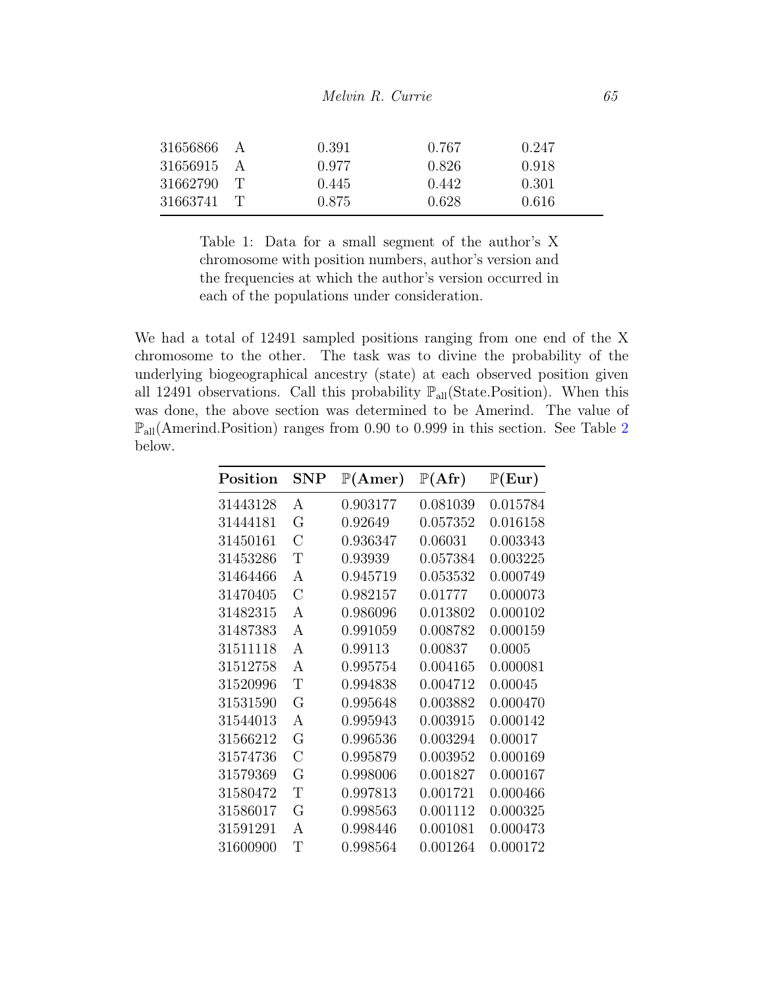| 31656866 | $\overline{A}$ | 0.391 | 0.767 | 0.247 |  |
|----------|----------------|-------|-------|-------|--|
| 31656915 |                | 0.977 | 0.826 | 0.918 |  |
| 31662790 | $\mathbf{r}$   | 0.445 | 0.442 | 0.301 |  |
| 31663741 | $\mathbf{L}$   | 0.875 | 0.628 | 0.616 |  |

Table 1: Data for a small segment of the author's X chromosome with position numbers, author's version and the frequencies at which the author's version occurred in each of the populations under consideration.

We had a total of 12491 sampled positions ranging from one end of the X chromosome to the other. The task was to divine the probability of the underlying biogeographical ancestry (state) at each observed position given all 12491 observations. Call this probability  $\mathbb{P}_{all}(State. Position)$ . When this was done, the above section was determined to be Amerind. The value of  $\mathbb{P}_{\text{all}}(\text{American. Position})$  ranges from 0.90 to 0.999 in this section. See Table [2](#page-6-0) below.

<span id="page-6-0"></span>

| Position | ${\bf SNP}$    | $\mathbb{P}(\text{Amer})$ | $\mathbb{P}(\mathrm{Afr})$ | $\mathbb{P}(\text{Eur})$ |
|----------|----------------|---------------------------|----------------------------|--------------------------|
| 31443128 | А              | 0.903177                  | 0.081039                   | 0.015784                 |
| 31444181 | G              | 0.92649                   | 0.057352                   | 0.016158                 |
| 31450161 | С              | 0.936347                  | 0.06031                    | 0.003343                 |
| 31453286 | Τ              | 0.93939                   | 0.057384                   | 0.003225                 |
| 31464466 | А              | 0.945719                  | 0.053532                   | 0.000749                 |
| 31470405 | $\overline{C}$ | 0.982157                  | 0.01777                    | 0.000073                 |
| 31482315 | А              | 0.986096                  | 0.013802                   | 0.000102                 |
| 31487383 | A              | 0.991059                  | 0.008782                   | 0.000159                 |
| 31511118 | A              | 0.99113                   | 0.00837                    | 0.0005                   |
| 31512758 | A              | 0.995754                  | 0.004165                   | 0.000081                 |
| 31520996 | Τ              | 0.994838                  | 0.004712                   | 0.00045                  |
| 31531590 | G              | 0.995648                  | 0.003882                   | 0.000470                 |
| 31544013 | А              | 0.995943                  | 0.003915                   | 0.000142                 |
| 31566212 | G              | 0.996536                  | 0.003294                   | 0.00017                  |
| 31574736 | $\overline{C}$ | 0.995879                  | 0.003952                   | 0.000169                 |
| 31579369 | G              | 0.998006                  | 0.001827                   | 0.000167                 |
| 31580472 | Τ              | 0.997813                  | 0.001721                   | 0.000466                 |
| 31586017 | G              | 0.998563                  | 0.001112                   | 0.000325                 |
| 31591291 | А              | 0.998446                  | 0.001081                   | 0.000473                 |
| 31600900 | Τ              | 0.998564                  | 0.001264                   | 0.000172                 |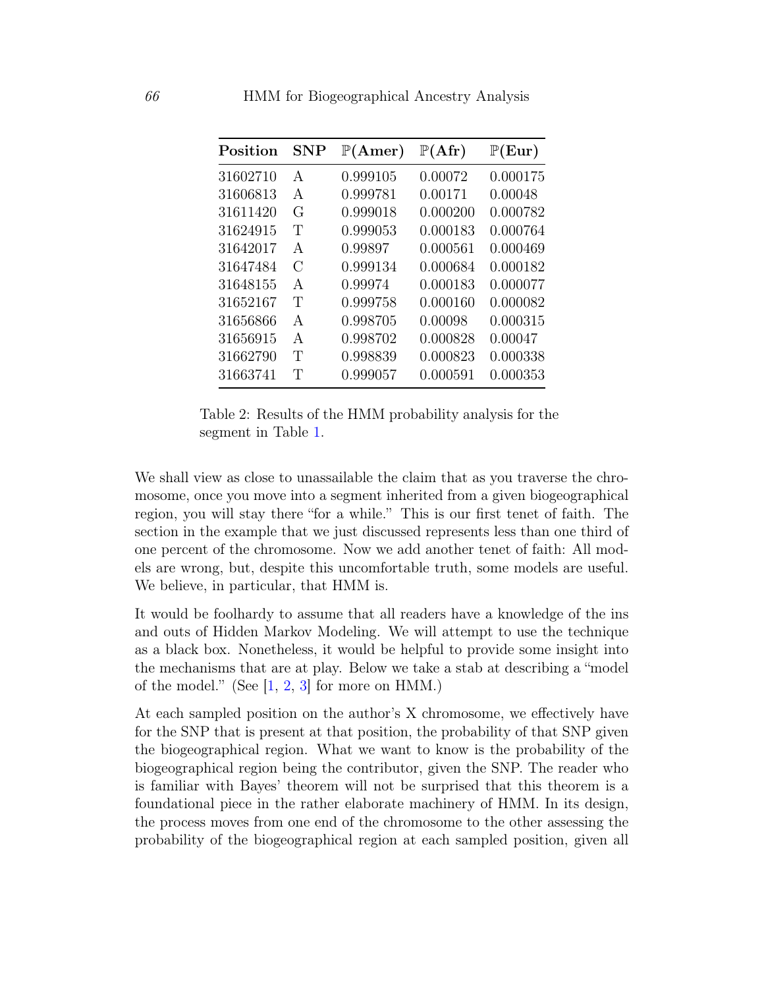| Position | SNP           | $\mathbb{P}(\text{Amer})$ | $\mathbb{P}(\mathrm{Afr})$ | $\mathbb{P}(\text{Eur})$ |
|----------|---------------|---------------------------|----------------------------|--------------------------|
| 31602710 | A             | 0.999105                  | 0.00072                    | 0.000175                 |
| 31606813 | A             | 0.999781                  | 0.00171                    | 0.00048                  |
| 31611420 | G             | 0.999018                  | 0.000200                   | 0.000782                 |
| 31624915 | Т             | 0.999053                  | 0.000183                   | 0.000764                 |
| 31642017 | A             | 0.99897                   | 0.000561                   | 0.000469                 |
| 31647484 | $\mathcal{C}$ | 0.999134                  | 0.000684                   | 0.000182                 |
| 31648155 | A             | 0.99974                   | 0.000183                   | 0.000077                 |
| 31652167 | T             | 0.999758                  | 0.000160                   | 0.000082                 |
| 31656866 | A             | 0.998705                  | 0.00098                    | 0.000315                 |
| 31656915 | A             | 0.998702                  | 0.000828                   | 0.00047                  |
| 31662790 | Т             | 0.998839                  | 0.000823                   | 0.000338                 |
| 31663741 | Т             | 0.999057                  | 0.000591                   | 0.000353                 |

Table 2: Results of the HMM probability analysis for the segment in Table [1.](#page-5-0)

We shall view as close to unassailable the claim that as you traverse the chromosome, once you move into a segment inherited from a given biogeographical region, you will stay there "for a while." This is our first tenet of faith. The section in the example that we just discussed represents less than one third of one percent of the chromosome. Now we add another tenet of faith: All models are wrong, but, despite this uncomfortable truth, some models are useful. We believe, in particular, that HMM is.

It would be foolhardy to assume that all readers have a knowledge of the ins and outs of Hidden Markov Modeling. We will attempt to use the technique as a black box. Nonetheless, it would be helpful to provide some insight into the mechanisms that are at play. Below we take a stab at describing a "model of the model." (See  $[1, 2, 3]$  $[1, 2, 3]$  $[1, 2, 3]$  $[1, 2, 3]$  $[1, 2, 3]$  for more on HMM.)

At each sampled position on the author's X chromosome, we effectively have for the SNP that is present at that position, the probability of that SNP given the biogeographical region. What we want to know is the probability of the biogeographical region being the contributor, given the SNP. The reader who is familiar with Bayes' theorem will not be surprised that this theorem is a foundational piece in the rather elaborate machinery of HMM. In its design, the process moves from one end of the chromosome to the other assessing the probability of the biogeographical region at each sampled position, given all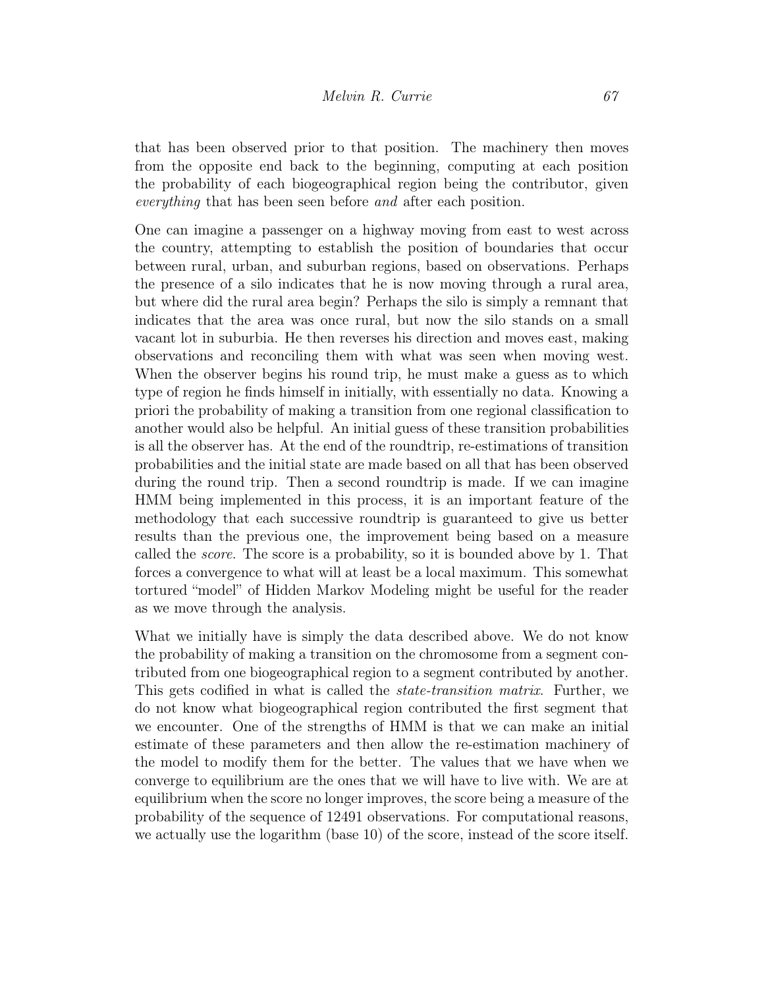that has been observed prior to that position. The machinery then moves from the opposite end back to the beginning, computing at each position the probability of each biogeographical region being the contributor, given everything that has been seen before and after each position.

One can imagine a passenger on a highway moving from east to west across the country, attempting to establish the position of boundaries that occur between rural, urban, and suburban regions, based on observations. Perhaps the presence of a silo indicates that he is now moving through a rural area, but where did the rural area begin? Perhaps the silo is simply a remnant that indicates that the area was once rural, but now the silo stands on a small vacant lot in suburbia. He then reverses his direction and moves east, making observations and reconciling them with what was seen when moving west. When the observer begins his round trip, he must make a guess as to which type of region he finds himself in initially, with essentially no data. Knowing a priori the probability of making a transition from one regional classification to another would also be helpful. An initial guess of these transition probabilities is all the observer has. At the end of the roundtrip, re-estimations of transition probabilities and the initial state are made based on all that has been observed during the round trip. Then a second roundtrip is made. If we can imagine HMM being implemented in this process, it is an important feature of the methodology that each successive roundtrip is guaranteed to give us better results than the previous one, the improvement being based on a measure called the score. The score is a probability, so it is bounded above by 1. That forces a convergence to what will at least be a local maximum. This somewhat tortured "model" of Hidden Markov Modeling might be useful for the reader as we move through the analysis.

What we initially have is simply the data described above. We do not know the probability of making a transition on the chromosome from a segment contributed from one biogeographical region to a segment contributed by another. This gets codified in what is called the *state-transition matrix*. Further, we do not know what biogeographical region contributed the first segment that we encounter. One of the strengths of HMM is that we can make an initial estimate of these parameters and then allow the re-estimation machinery of the model to modify them for the better. The values that we have when we converge to equilibrium are the ones that we will have to live with. We are at equilibrium when the score no longer improves, the score being a measure of the probability of the sequence of 12491 observations. For computational reasons, we actually use the logarithm (base 10) of the score, instead of the score itself.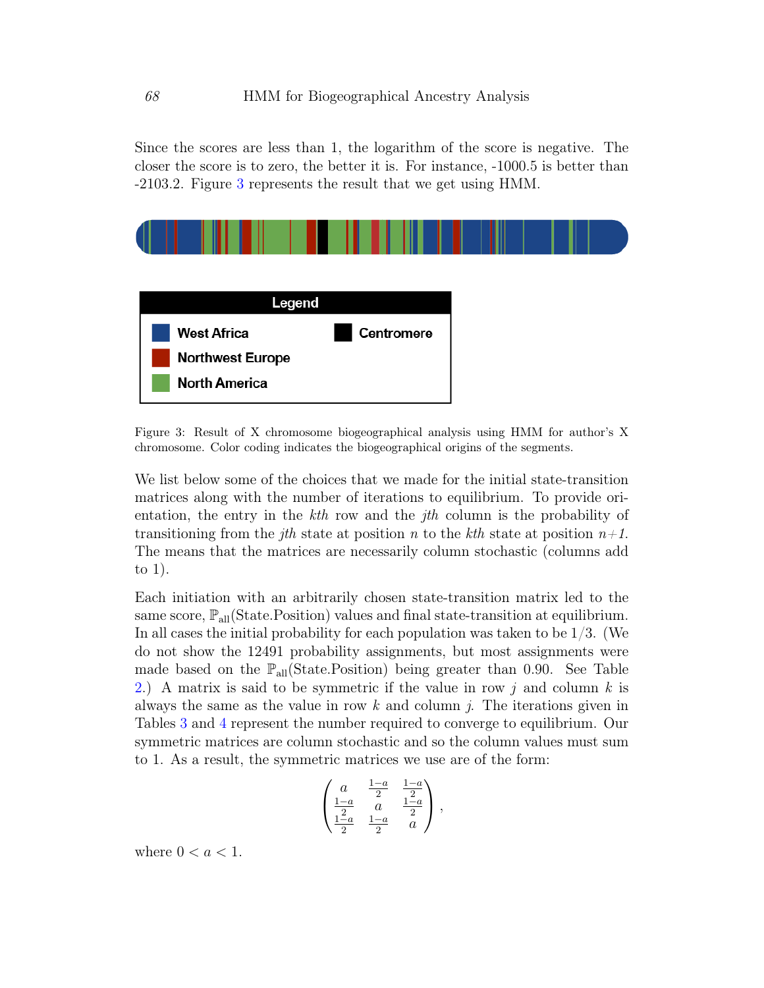Since the scores are less than 1, the logarithm of the score is negative. The closer the score is to zero, the better it is. For instance, -1000.5 is better than -2103.2. Figure [3](#page-9-0) represents the result that we get using HMM.



<span id="page-9-0"></span>Figure 3: Result of X chromosome biogeographical analysis using HMM for author's X chromosome. Color coding indicates the biogeographical origins of the segments.

We list below some of the choices that we made for the initial state-transition matrices along with the number of iterations to equilibrium. To provide orientation, the entry in the  $kth$  row and the *jth* column is the probability of transitioning from the *j*th state at position n to the *k*th state at position  $n+1$ . The means that the matrices are necessarily column stochastic (columns add to 1).

Each initiation with an arbitrarily chosen state-transition matrix led to the same score,  $\mathbb{P}_{all}$ (State.Position) values and final state-transition at equilibrium. In all cases the initial probability for each population was taken to be  $1/3$ . (We do not show the 12491 probability assignments, but most assignments were made based on the  $\mathbb{P}_{all}(\text{State. Position})$  being greater than 0.90. See Table [2.](#page-6-0)) A matrix is said to be symmetric if the value in row j and column  $k$  is always the same as the value in row  $k$  and column  $j$ . The iterations given in Tables [3](#page-10-0) and [4](#page-10-1) represent the number required to converge to equilibrium. Our symmetric matrices are column stochastic and so the column values must sum to 1. As a result, the symmetric matrices we use are of the form:

$$
\begin{pmatrix} a & \frac{1-a}{2} & \frac{1-a}{2} \\ \frac{1-a}{2} & a & \frac{1-a}{2} \\ \frac{1-a}{2} & \frac{1-a}{2} & a \end{pmatrix},
$$

where  $0 < a < 1$ .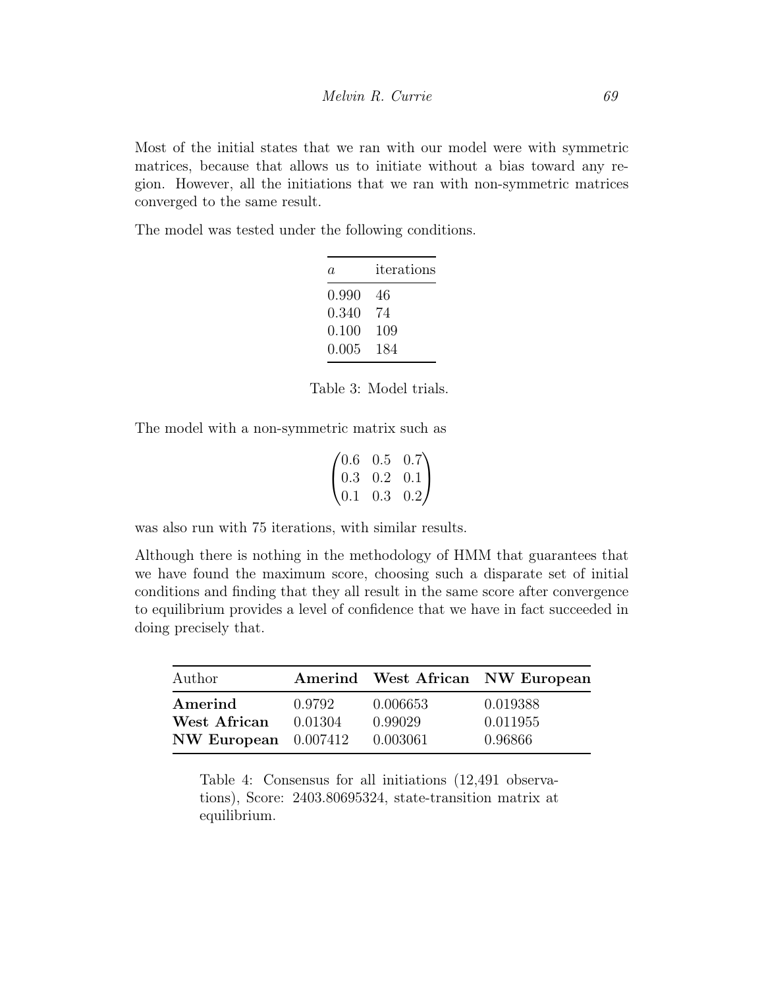Most of the initial states that we ran with our model were with symmetric matrices, because that allows us to initiate without a bias toward any region. However, all the initiations that we ran with non-symmetric matrices converged to the same result.

<span id="page-10-0"></span>The model was tested under the following conditions.

| а.        | iterations |
|-----------|------------|
| 0.990     | 46         |
| 0.340     | 74         |
| $0.100\,$ | 109        |
| $0.005\,$ | 184        |

Table 3: Model trials.

The model with a non-symmetric matrix such as

$$
\begin{pmatrix} 0.6 & 0.5 & 0.7 \\ 0.3 & 0.2 & 0.1 \\ 0.1 & 0.3 & 0.2 \end{pmatrix}
$$

was also run with 75 iterations, with similar results.

Although there is nothing in the methodology of HMM that guarantees that we have found the maximum score, choosing such a disparate set of initial conditions and finding that they all result in the same score after convergence to equilibrium provides a level of confidence that we have in fact succeeded in doing precisely that.

<span id="page-10-1"></span>

| Author                 |         |          | Amerind West African NW European |
|------------------------|---------|----------|----------------------------------|
| Amerind                | 0.9792  | 0.006653 | 0.019388                         |
| West African           | 0.01304 | 0.99029  | 0.011955                         |
| NW European $0.007412$ |         | 0.003061 | 0.96866                          |

Table 4: Consensus for all initiations (12,491 observations), Score: 2403.80695324, state-transition matrix at equilibrium.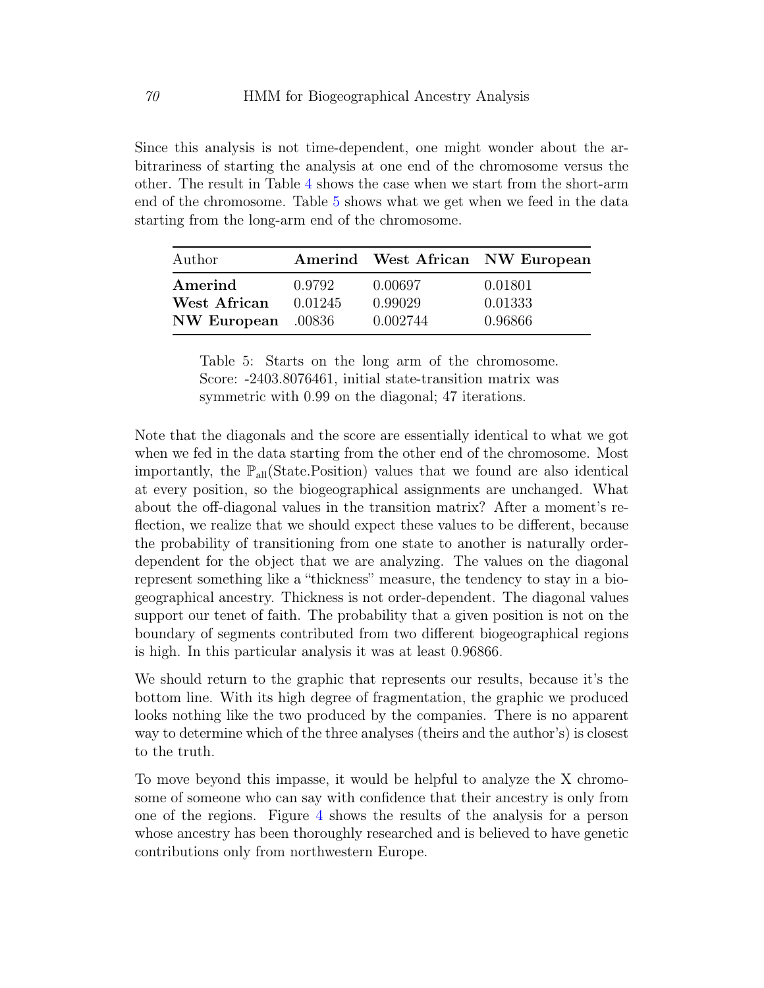Since this analysis is not time-dependent, one might wonder about the arbitrariness of starting the analysis at one end of the chromosome versus the other. The result in Table [4](#page-10-1) shows the case when we start from the short-arm end of the chromosome. Table [5](#page-11-0) shows what we get when we feed in the data starting from the long-arm end of the chromosome.

<span id="page-11-0"></span>

| Author             |         |          | Amerind West African NW European |
|--------------------|---------|----------|----------------------------------|
| Amerind            | 0.9792  | 0.00697  | 0.01801                          |
| West African       | 0.01245 | 0.99029  | 0.01333                          |
| NW European .00836 |         | 0.002744 | 0.96866                          |

Table 5: Starts on the long arm of the chromosome. Score: -2403.8076461, initial state-transition matrix was symmetric with 0.99 on the diagonal; 47 iterations.

Note that the diagonals and the score are essentially identical to what we got when we fed in the data starting from the other end of the chromosome. Most importantly, the  $\mathbb{P}_{all}(State\cdot Position)$  values that we found are also identical at every position, so the biogeographical assignments are unchanged. What about the off-diagonal values in the transition matrix? After a moment's reflection, we realize that we should expect these values to be different, because the probability of transitioning from one state to another is naturally orderdependent for the object that we are analyzing. The values on the diagonal represent something like a "thickness" measure, the tendency to stay in a biogeographical ancestry. Thickness is not order-dependent. The diagonal values support our tenet of faith. The probability that a given position is not on the boundary of segments contributed from two different biogeographical regions is high. In this particular analysis it was at least 0.96866.

We should return to the graphic that represents our results, because it's the bottom line. With its high degree of fragmentation, the graphic we produced looks nothing like the two produced by the companies. There is no apparent way to determine which of the three analyses (theirs and the author's) is closest to the truth.

To move beyond this impasse, it would be helpful to analyze the X chromosome of someone who can say with confidence that their ancestry is only from one of the regions. Figure [4](#page-12-0) shows the results of the analysis for a person whose ancestry has been thoroughly researched and is believed to have genetic contributions only from northwestern Europe.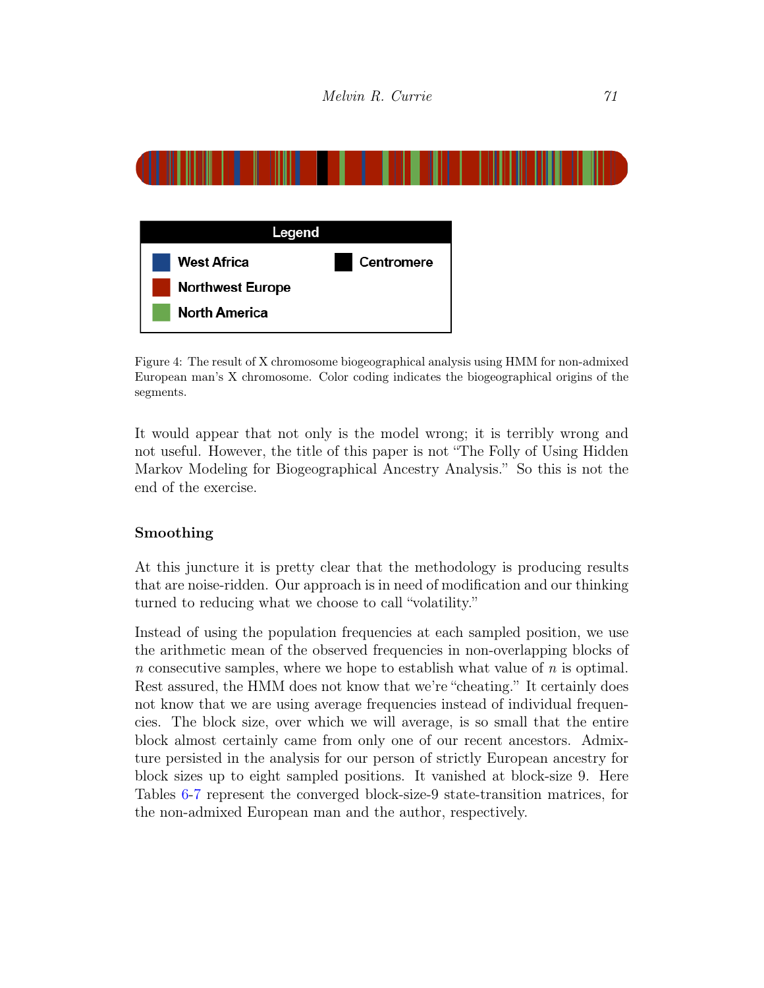

<span id="page-12-0"></span>Figure 4: The result of X chromosome biogeographical analysis using HMM for non-admixed European man's X chromosome. Color coding indicates the biogeographical origins of the segments.

It would appear that not only is the model wrong; it is terribly wrong and not useful. However, the title of this paper is not "The Folly of Using Hidden Markov Modeling for Biogeographical Ancestry Analysis." So this is not the end of the exercise.

### Smoothing

At this juncture it is pretty clear that the methodology is producing results that are noise-ridden. Our approach is in need of modification and our thinking turned to reducing what we choose to call "volatility."

<span id="page-12-1"></span>Instead of using the population frequencies at each sampled position, we use the arithmetic mean of the observed frequencies in non-overlapping blocks of n consecutive samples, where we hope to establish what value of  $n$  is optimal. Rest assured, the HMM does not know that we're "cheating." It certainly does not know that we are using average frequencies instead of individual frequencies. The block size, over which we will average, is so small that the entire block almost certainly came from only one of our recent ancestors. Admixture persisted in the analysis for our person of strictly European ancestry for block sizes up to eight sampled positions. It vanished at block-size 9. Here Tables [6](#page-12-1)[-7](#page-13-0) represent the converged block-size-9 state-transition matrices, for the non-admixed European man and the author, respectively.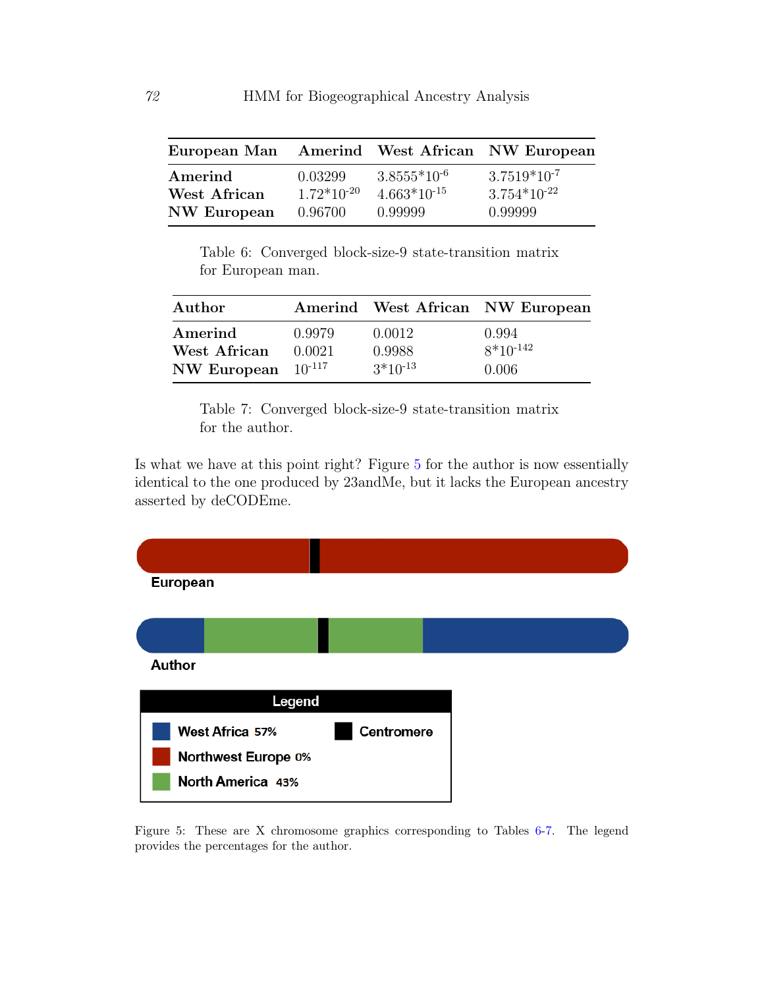| European Man Amerind West African NW European |                 |                  |                  |
|-----------------------------------------------|-----------------|------------------|------------------|
| Amerind                                       | 0.03299         | $3.8555*10^{-6}$ | $3.7519*10^{-7}$ |
| West African                                  | $1.72*10^{-20}$ | $4.663*10^{-15}$ | $3.754*10^{-22}$ |
| NW European                                   | 0.96700         | 0.99999          | 0.99999          |

Table 6: Converged block-size-9 state-transition matrix for European man.

<span id="page-13-0"></span>

| Author                                             |                  |                                  | Amerind West African NW European |
|----------------------------------------------------|------------------|----------------------------------|----------------------------------|
| Amerind<br>West African<br>NW European $10^{-117}$ | 0.9979<br>0.0021 | 0.0012<br>0.9988<br>$3*10^{-13}$ | 0.994<br>$8*10^{-142}$<br>0.006  |

Table 7: Converged block-size-9 state-transition matrix for the author.

Is what we have at this point right? Figure [5](#page-13-1) for the author is now essentially identical to the one produced by 23andMe, but it lacks the European ancestry asserted by deCODEme.



<span id="page-13-1"></span>Figure 5: These are X chromosome graphics corresponding to Tables [6-](#page-12-1)[7.](#page-13-0) The legend provides the percentages for the author.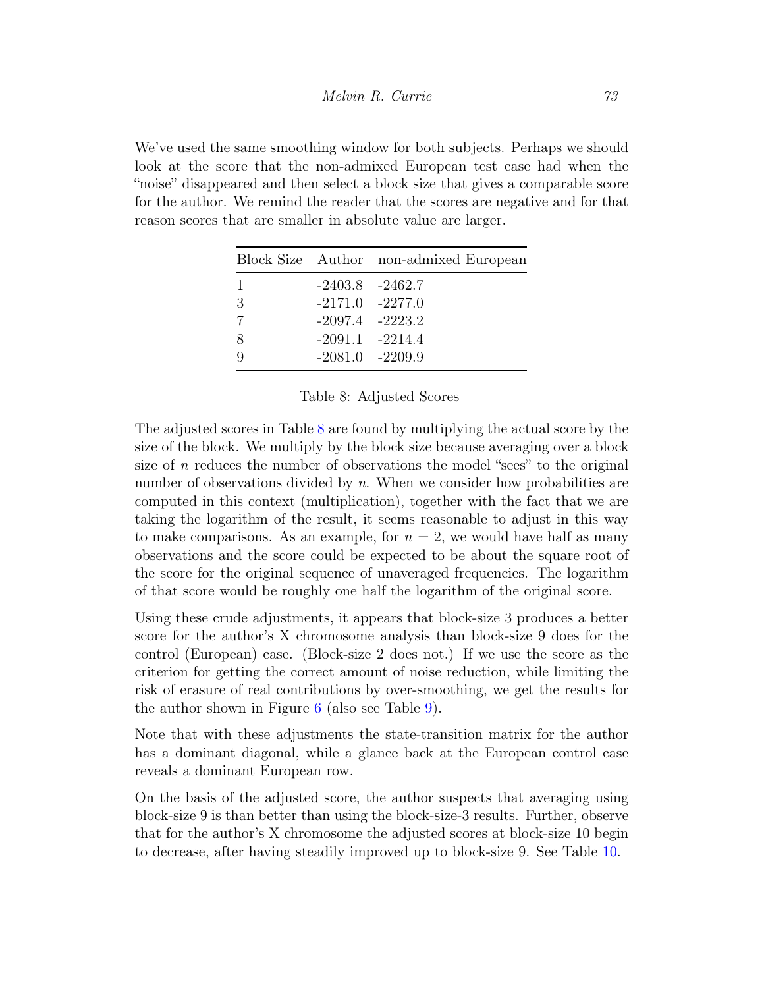<span id="page-14-0"></span>We've used the same smoothing window for both subjects. Perhaps we should look at the score that the non-admixed European test case had when the "noise" disappeared and then select a block size that gives a comparable score for the author. We remind the reader that the scores are negative and for that reason scores that are smaller in absolute value are larger.

|   |                     | Block Size Author non-admixed European |
|---|---------------------|----------------------------------------|
|   |                     | $-2403.8$ $-2462.7$                    |
| 3 | $-2171.0$ $-2277.0$ |                                        |
|   |                     | $-2097.4$ $-2223.2$                    |
| 8 |                     | $-2091.1 -2214.4$                      |
| Q |                     | $-2081.0 -2209.9$                      |

#### Table 8: Adjusted Scores

The adjusted scores in Table [8](#page-14-0) are found by multiplying the actual score by the size of the block. We multiply by the block size because averaging over a block size of  $n$  reduces the number of observations the model "sees" to the original number of observations divided by n. When we consider how probabilities are computed in this context (multiplication), together with the fact that we are taking the logarithm of the result, it seems reasonable to adjust in this way to make comparisons. As an example, for  $n = 2$ , we would have half as many observations and the score could be expected to be about the square root of the score for the original sequence of unaveraged frequencies. The logarithm of that score would be roughly one half the logarithm of the original score.

Using these crude adjustments, it appears that block-size 3 produces a better score for the author's X chromosome analysis than block-size 9 does for the control (European) case. (Block-size 2 does not.) If we use the score as the criterion for getting the correct amount of noise reduction, while limiting the risk of erasure of real contributions by over-smoothing, we get the results for the author shown in Figure [6](#page-15-0) (also see Table [9\)](#page-15-1).

Note that with these adjustments the state-transition matrix for the author has a dominant diagonal, while a glance back at the European control case reveals a dominant European row.

<span id="page-14-1"></span>On the basis of the adjusted score, the author suspects that averaging using block-size 9 is than better than using the block-size-3 results. Further, observe that for the author's X chromosome the adjusted scores at block-size 10 begin to decrease, after having steadily improved up to block-size 9. See Table [10.](#page-14-1)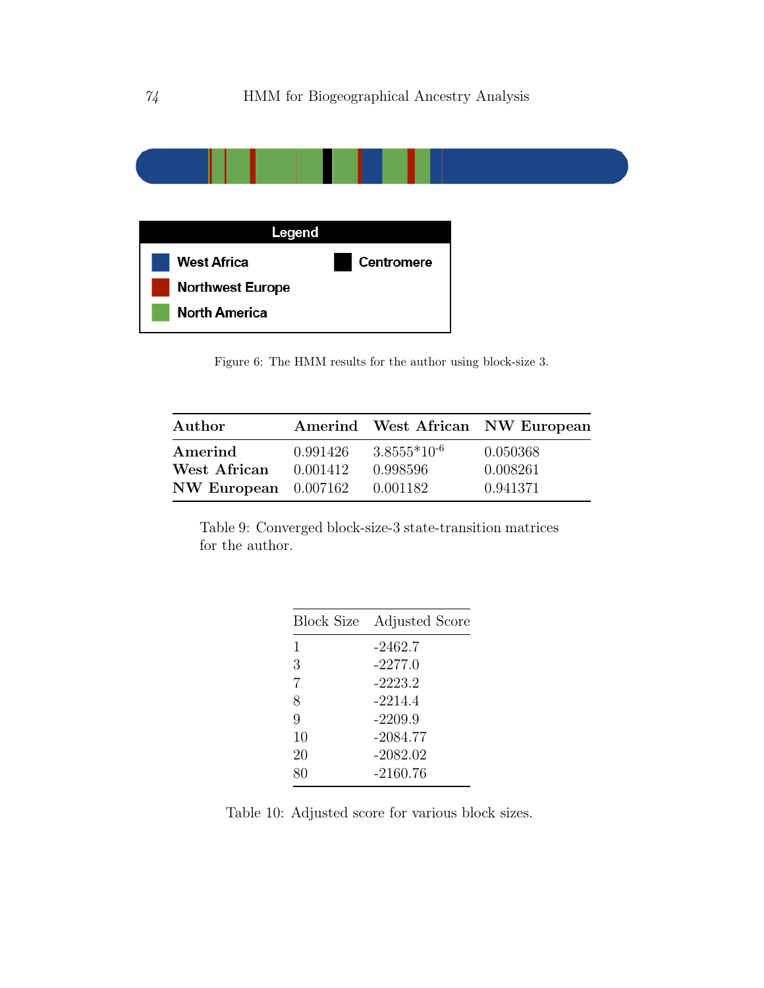

<span id="page-15-0"></span>Figure 6: The HMM results for the author using block-size 3.

<span id="page-15-1"></span>

| Author                 |          |                  | Amerind West African NW European |
|------------------------|----------|------------------|----------------------------------|
| Amerind                | 0.991426 | $3.8555*10^{-6}$ | 0.050368                         |
| West African           | 0.001412 | 0.998596         | 0.008261                         |
| NW European $0.007162$ |          | 0.001182         | 0.941371                         |

Table 9: Converged block-size-3 state-transition matrices for the author.

| Block Size | Adjusted Score |
|------------|----------------|
| 1          | -2462.7        |
| 3          | $-2277.0$      |
| 7          | $-2223.2$      |
| 8          | $-2214.4$      |
| 9          | $-2209.9$      |
| 10         | -2084.77       |
| 20         | $-2082.02$     |
| 80         | -2160.76       |
|            |                |

Table 10: Adjusted score for various block sizes.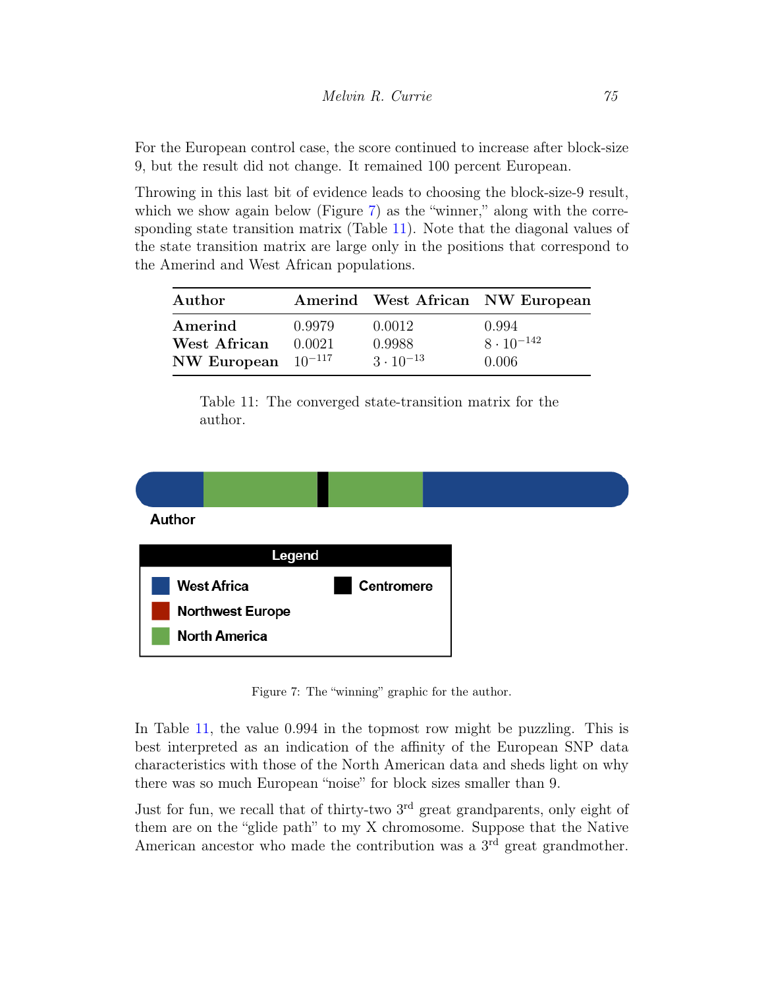For the European control case, the score continued to increase after block-size 9, but the result did not change. It remained 100 percent European.

Throwing in this last bit of evidence leads to choosing the block-size-9 result, which we show again below (Figure [7\)](#page-16-0) as the "winner," along with the corresponding state transition matrix (Table [11\)](#page-16-1). Note that the diagonal values of the state transition matrix are large only in the positions that correspond to the Amerind and West African populations.

<span id="page-16-1"></span>

| Author                  |                  |                    | Amerind West African NW European |
|-------------------------|------------------|--------------------|----------------------------------|
| Amerind<br>West African | 0.9979<br>0.0021 | 0.0012<br>0.9988   | 0.994<br>$8 \cdot 10^{-142}$     |
| NW European $10^{-117}$ |                  | $3 \cdot 10^{-13}$ | 0.006                            |

Table 11: The converged state-transition matrix for the author.



Figure 7: The "winning" graphic for the author.

<span id="page-16-0"></span>In Table [11,](#page-16-1) the value 0.994 in the topmost row might be puzzling. This is best interpreted as an indication of the affinity of the European SNP data characteristics with those of the North American data and sheds light on why there was so much European "noise" for block sizes smaller than 9.

Just for fun, we recall that of thirty-two 3<sup>rd</sup> great grandparents, only eight of them are on the "glide path" to my X chromosome. Suppose that the Native American ancestor who made the contribution was a  $3<sup>rd</sup>$  great grandmother.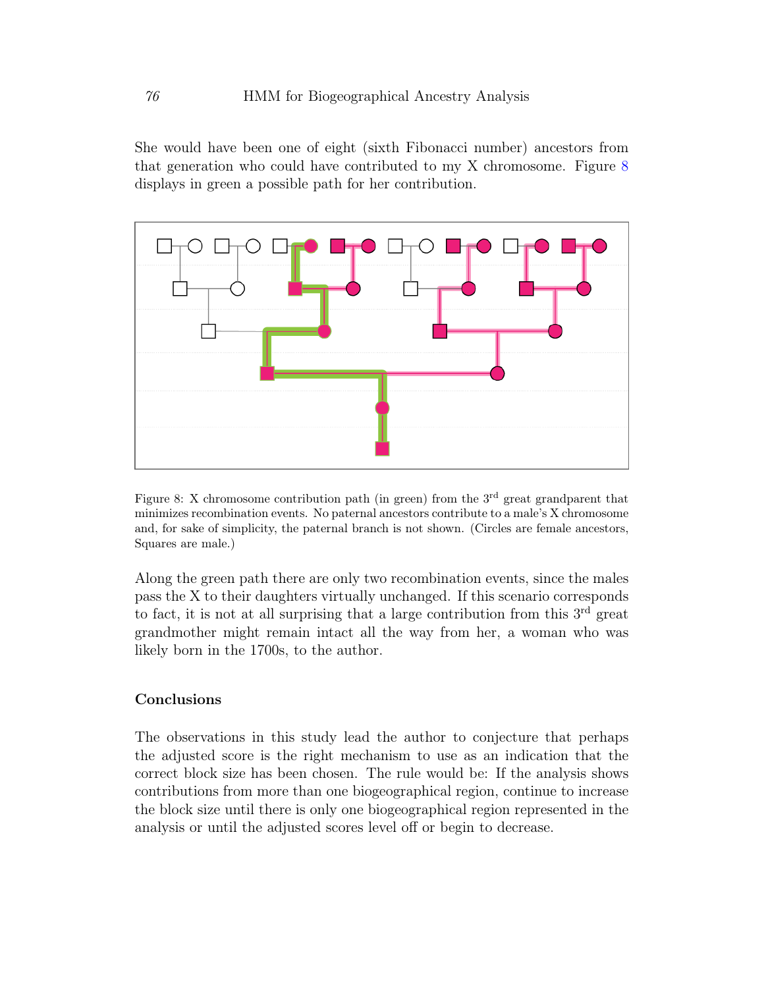She would have been one of eight (sixth Fibonacci number) ancestors from that generation who could have contributed to my X chromosome. Figure [8](#page-17-0) displays in green a possible path for her contribution.



<span id="page-17-0"></span>Figure 8: X chromosome contribution path (in green) from the  $3<sup>rd</sup>$  great grandparent that minimizes recombination events. No paternal ancestors contribute to a male's X chromosome and, for sake of simplicity, the paternal branch is not shown. (Circles are female ancestors, Squares are male.)

Along the green path there are only two recombination events, since the males pass the X to their daughters virtually unchanged. If this scenario corresponds to fact, it is not at all surprising that a large contribution from this  $3<sup>rd</sup>$  great grandmother might remain intact all the way from her, a woman who was likely born in the 1700s, to the author.

## Conclusions

The observations in this study lead the author to conjecture that perhaps the adjusted score is the right mechanism to use as an indication that the correct block size has been chosen. The rule would be: If the analysis shows contributions from more than one biogeographical region, continue to increase the block size until there is only one biogeographical region represented in the analysis or until the adjusted scores level off or begin to decrease.